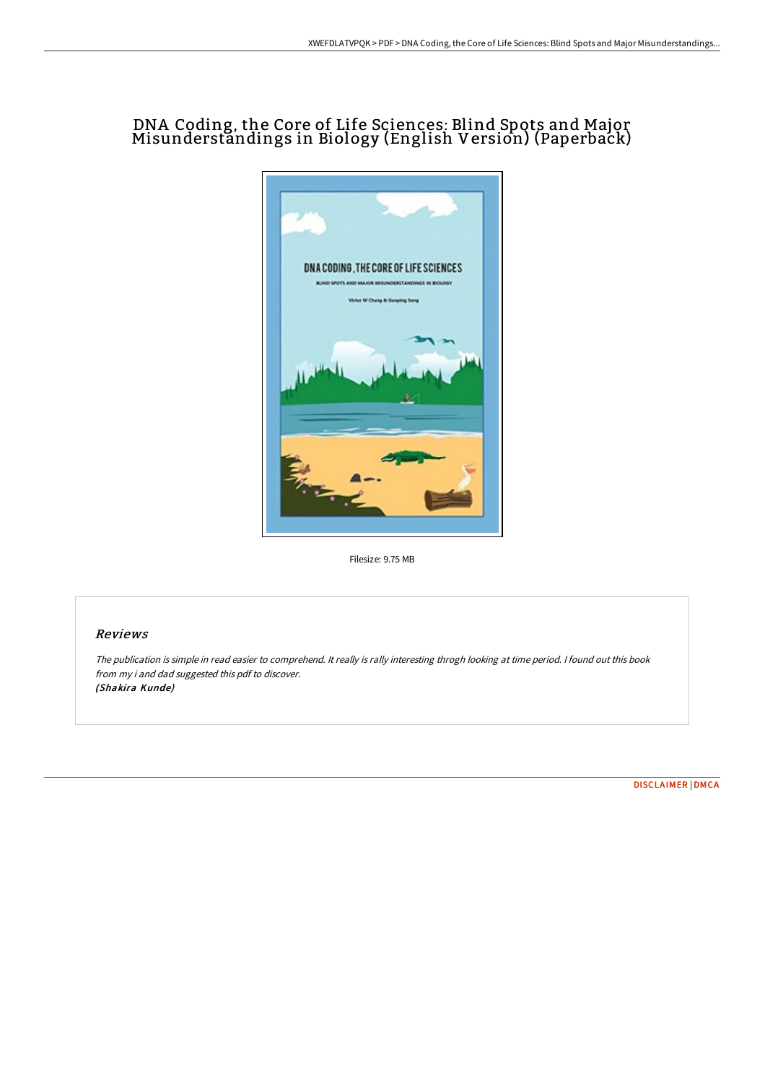# DNA Coding, the Core of Life Sciences: Blind Spots and Major Misunderstandings in Biology (English Version) (Paperback)



Filesize: 9.75 MB

### Reviews

The publication is simple in read easier to comprehend. It really is rally interesting throgh looking at time period. <sup>I</sup> found out this book from my i and dad suggested this pdf to discover. (Shakira Kunde)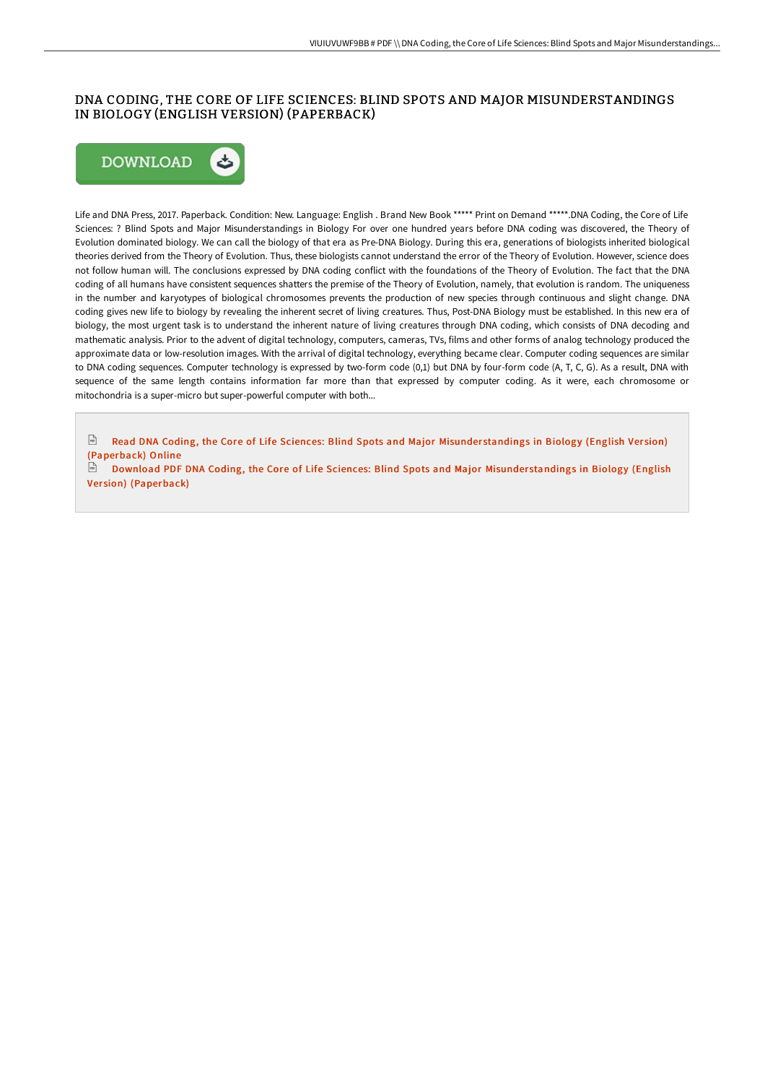## DNA CODING, THE CORE OF LIFE SCIENCES: BLIND SPOTS AND MAJOR MISUNDERSTANDINGS IN BIOLOGY (ENGLISH VERSION) (PAPERBACK)



Life and DNA Press, 2017. Paperback. Condition: New. Language: English . Brand New Book \*\*\*\*\* Print on Demand \*\*\*\*\*.DNA Coding, the Core of Life Sciences: ? Blind Spots and Major Misunderstandings in Biology For over one hundred years before DNA coding was discovered, the Theory of Evolution dominated biology. We can call the biology of that era as Pre-DNA Biology. During this era, generations of biologists inherited biological theories derived from the Theory of Evolution. Thus, these biologists cannot understand the error of the Theory of Evolution. However, science does not follow human will. The conclusions expressed by DNA coding conflict with the foundations of the Theory of Evolution. The fact that the DNA coding of all humans have consistent sequences shatters the premise of the Theory of Evolution, namely, that evolution is random. The uniqueness in the number and karyotypes of biological chromosomes prevents the production of new species through continuous and slight change. DNA coding gives new life to biology by revealing the inherent secret of living creatures. Thus, Post-DNA Biology must be established. In this new era of biology, the most urgent task is to understand the inherent nature of living creatures through DNA coding, which consists of DNA decoding and mathematic analysis. Prior to the advent of digital technology, computers, cameras, TVs, films and other forms of analog technology produced the approximate data or low-resolution images. With the arrival of digital technology, everything became clear. Computer coding sequences are similar to DNA coding sequences. Computer technology is expressed by two-form code (0,1) but DNA by four-form code (A, T, C, G). As a result, DNA with sequence of the same length contains information far more than that expressed by computer coding. As it were, each chromosome or mitochondria is a super-micro but super-powerful computer with both...

 $F(f)$ Read DNA Coding, the Core of Life Sciences: Blind Spots and Major Misunderstandings in Biology (English Version) [\(Paperback\)](http://techno-pub.tech/dna-coding-the-core-of-life-sciences-blind-spots-1.html) Online

 $FSE$ Download PDF DNA Coding, the Core of Life Sciences: Blind Spots and Major Misunderstandings in Biology (English Version) [\(Paperback\)](http://techno-pub.tech/dna-coding-the-core-of-life-sciences-blind-spots-1.html)